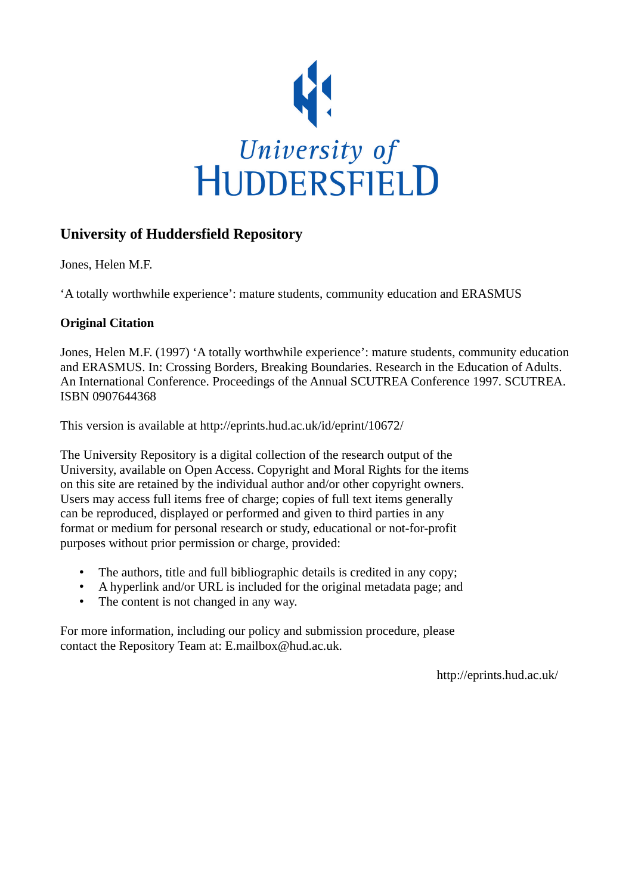

# **University of Huddersfield Repository**

Jones, Helen M.F.

'A totally worthwhile experience': mature students, community education and ERASMUS

# **Original Citation**

Jones, Helen M.F. (1997) 'A totally worthwhile experience': mature students, community education and ERASMUS. In: Crossing Borders, Breaking Boundaries. Research in the Education of Adults. An International Conference. Proceedings of the Annual SCUTREA Conference 1997. SCUTREA. ISBN 0907644368

This version is available at http://eprints.hud.ac.uk/id/eprint/10672/

The University Repository is a digital collection of the research output of the University, available on Open Access. Copyright and Moral Rights for the items on this site are retained by the individual author and/or other copyright owners. Users may access full items free of charge; copies of full text items generally can be reproduced, displayed or performed and given to third parties in any format or medium for personal research or study, educational or not-for-profit purposes without prior permission or charge, provided:

- The authors, title and full bibliographic details is credited in any copy;
- A hyperlink and/or URL is included for the original metadata page; and
- The content is not changed in any way.

For more information, including our policy and submission procedure, please contact the Repository Team at: E.mailbox@hud.ac.uk.

http://eprints.hud.ac.uk/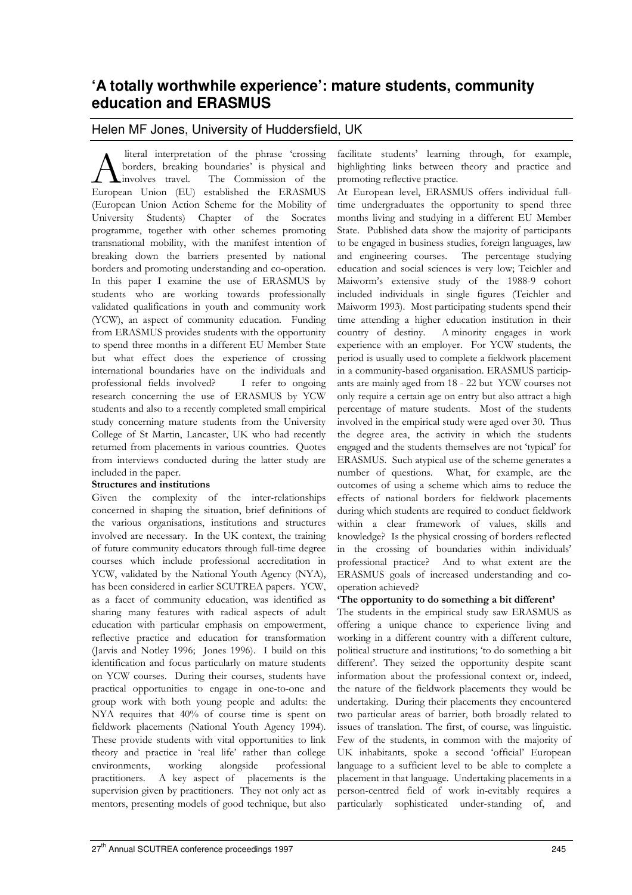# **'A totally worthwhile experience': mature students, community education and ERASMUS**

# Helen MF Jones, University of Huddersfield, UK

 literal interpretation of the phrase 'crossing borders, breaking boundaries' is physical and involves travel. The Commission of the A literal interpretation of the phrase 'crossing<br>borders, breaking boundaries' is physical and<br>European Union (EU) established the ERASMUS (European Union Action Scheme for the Mobility of University Students) Chapter of the Socrates programme, together with other schemes promoting transnational mobility, with the manifest intention of breaking down the barriers presented by national borders and promoting understanding and co-operation. In this paper I examine the use of ERASMUS by students who are working towards professionally validated qualifications in youth and community work (YCW), an aspect of community education. Funding from ERASMUS provides students with the opportunity to spend three months in a different EU Member State but what effect does the experience of crossing international boundaries have on the individuals and professional fields involved? I refer to ongoing research concerning the use of ERASMUS by YCW students and also to a recently completed small empirical study concerning mature students from the University College of St Martin, Lancaster, UK who had recently returned from placements in various countries. Quotes from interviews conducted during the latter study are included in the paper.

## Structures and institutions

Given the complexity of the inter-relationships concerned in shaping the situation, brief definitions of the various organisations, institutions and structures involved are necessary. In the UK context, the training of future community educators through full-time degree courses which include professional accreditation in YCW, validated by the National Youth Agency (NYA), has been considered in earlier SCUTREA papers. YCW, as a facet of community education, was identified as sharing many features with radical aspects of adult education with particular emphasis on empowerment, reflective practice and education for transformation (Jarvis and Notley 1996; Jones 1996). I build on this identification and focus particularly on mature students on YCW courses. During their courses, students have practical opportunities to engage in one-to-one and group work with both young people and adults: the NYA requires that 40% of course time is spent on fieldwork placements (National Youth Agency 1994). These provide students with vital opportunities to link theory and practice in 'real life' rather than college environments, working alongside professional practitioners. A key aspect of placements is the supervision given by practitioners. They not only act as mentors, presenting models of good technique, but also

facilitate students' learning through, for example, highlighting links between theory and practice and promoting reflective practice.

At European level, ERASMUS offers individual fulltime undergraduates the opportunity to spend three months living and studying in a different EU Member State. Published data show the majority of participants to be engaged in business studies, foreign languages, law and engineering courses. The percentage studying education and social sciences is very low; Teichler and Maiworm's extensive study of the 1988-9 cohort included individuals in single figures (Teichler and Maiworm 1993). Most participating students spend their time attending a higher education institution in their country of destiny. A minority engages in work experience with an employer. For YCW students, the period is usually used to complete a fieldwork placement in a community-based organisation. ERASMUS participants are mainly aged from 18 - 22 but YCW courses not only require a certain age on entry but also attract a high percentage of mature students. Most of the students involved in the empirical study were aged over 30. Thus the degree area, the activity in which the students engaged and the students themselves are not 'typical' for ERASMUS. Such atypical use of the scheme generates a number of questions. What, for example, are the outcomes of using a scheme which aims to reduce the effects of national borders for fieldwork placements during which students are required to conduct fieldwork within a clear framework of values, skills and knowledge? Is the physical crossing of borders reflected in the crossing of boundaries within individuals' professional practice? And to what extent are the ERASMUS goals of increased understanding and cooperation achieved?

## 'The opportunity to do something a bit different'

The students in the empirical study saw ERASMUS as offering a unique chance to experience living and working in a different country with a different culture, political structure and institutions; 'to do something a bit different'. They seized the opportunity despite scant information about the professional context or, indeed, the nature of the fieldwork placements they would be undertaking. During their placements they encountered two particular areas of barrier, both broadly related to issues of translation. The first, of course, was linguistic. Few of the students, in common with the majority of UK inhabitants, spoke a second 'official' European language to a sufficient level to be able to complete a placement in that language. Undertaking placements in a person-centred field of work in-evitably requires a particularly sophisticated under-standing of, and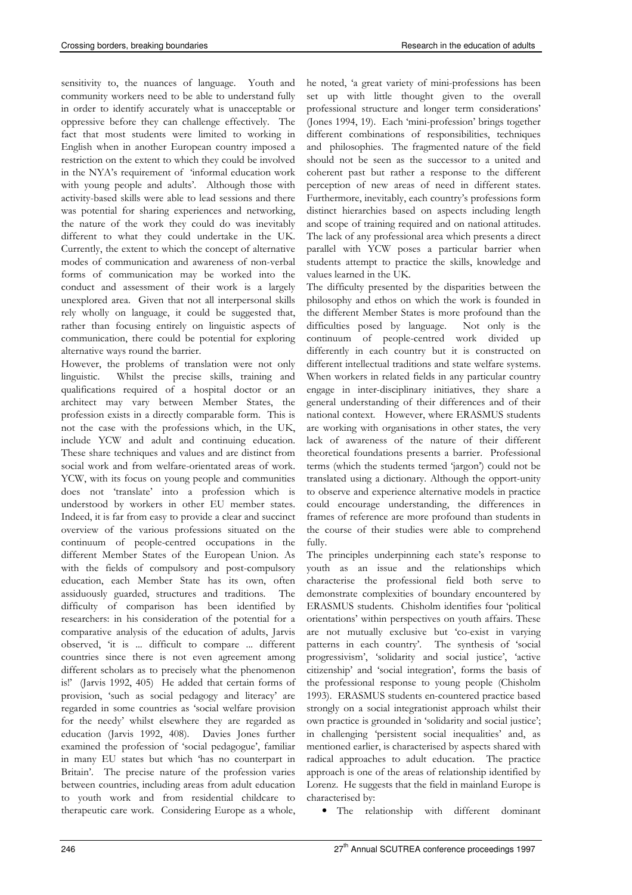sensitivity to, the nuances of language. Youth and community workers need to be able to understand fully in order to identify accurately what is unacceptable or oppressive before they can challenge effectively. The fact that most students were limited to working in English when in another European country imposed a restriction on the extent to which they could be involved in the NYA's requirement of 'informal education work with young people and adults'. Although those with activity-based skills were able to lead sessions and there was potential for sharing experiences and networking, the nature of the work they could do was inevitably different to what they could undertake in the UK. Currently, the extent to which the concept of alternative modes of communication and awareness of non-verbal forms of communication may be worked into the conduct and assessment of their work is a largely unexplored area. Given that not all interpersonal skills rely wholly on language, it could be suggested that, rather than focusing entirely on linguistic aspects of communication, there could be potential for exploring alternative ways round the barrier.

However, the problems of translation were not only linguistic. Whilst the precise skills, training and qualifications required of a hospital doctor or an architect may vary between Member States, the profession exists in a directly comparable form. This is not the case with the professions which, in the UK, include YCW and adult and continuing education. These share techniques and values and are distinct from social work and from welfare-orientated areas of work. YCW, with its focus on young people and communities does not 'translate' into a profession which is understood by workers in other EU member states. Indeed, it is far from easy to provide a clear and succinct overview of the various professions situated on the continuum of people-centred occupations in the different Member States of the European Union. As with the fields of compulsory and post-compulsory education, each Member State has its own, often assiduously guarded, structures and traditions. The difficulty of comparison has been identified by researchers: in his consideration of the potential for a comparative analysis of the education of adults, Jarvis observed, 'it is ... difficult to compare ... different countries since there is not even agreement among different scholars as to precisely what the phenomenon is!' (Jarvis 1992, 405) He added that certain forms of provision, 'such as social pedagogy and literacy' are regarded in some countries as 'social welfare provision for the needy' whilst elsewhere they are regarded as education (Jarvis 1992, 408). Davies Jones further examined the profession of 'social pedagogue', familiar in many EU states but which 'has no counterpart in Britain'. The precise nature of the profession varies between countries, including areas from adult education to youth work and from residential childcare to therapeutic care work. Considering Europe as a whole,

he noted, 'a great variety of mini-professions has been set up with little thought given to the overall professional structure and longer term considerations' (Jones 1994, 19). Each 'mini-profession' brings together different combinations of responsibilities, techniques and philosophies. The fragmented nature of the field should not be seen as the successor to a united and coherent past but rather a response to the different perception of new areas of need in different states. Furthermore, inevitably, each country's professions form distinct hierarchies based on aspects including length and scope of training required and on national attitudes. The lack of any professional area which presents a direct parallel with YCW poses a particular barrier when students attempt to practice the skills, knowledge and values learned in the UK.

The difficulty presented by the disparities between the philosophy and ethos on which the work is founded in the different Member States is more profound than the difficulties posed by language. Not only is the continuum of people-centred work divided up differently in each country but it is constructed on different intellectual traditions and state welfare systems. When workers in related fields in any particular country engage in inter-disciplinary initiatives, they share a general understanding of their differences and of their national context. However, where ERASMUS students are working with organisations in other states, the very lack of awareness of the nature of their different theoretical foundations presents a barrier. Professional terms (which the students termed 'jargon') could not be translated using a dictionary. Although the opport-unity to observe and experience alternative models in practice could encourage understanding, the differences in frames of reference are more profound than students in the course of their studies were able to comprehend fully.

The principles underpinning each state's response to youth as an issue and the relationships which characterise the professional field both serve to demonstrate complexities of boundary encountered by ERASMUS students. Chisholm identifies four 'political orientations' within perspectives on youth affairs. These are not mutually exclusive but 'co-exist in varying patterns in each country'. The synthesis of 'social progressivism', 'solidarity and social justice', 'active citizenship' and 'social integration', forms the basis of the professional response to young people (Chisholm 1993). ERASMUS students en-countered practice based strongly on a social integrationist approach whilst their own practice is grounded in 'solidarity and social justice'; in challenging 'persistent social inequalities' and, as mentioned earlier, is characterised by aspects shared with radical approaches to adult education. The practice approach is one of the areas of relationship identified by Lorenz. He suggests that the field in mainland Europe is characterised by:

• The relationship with different dominant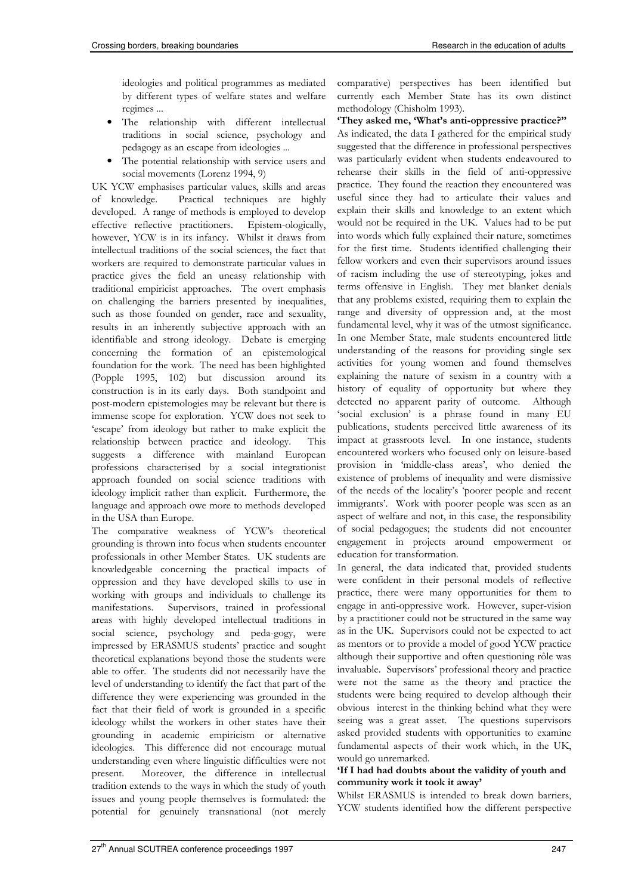ideologies and political programmes as mediated by different types of welfare states and welfare regimes ...

- The relationship with different intellectual traditions in social science, psychology and pedagogy as an escape from ideologies ...
- The potential relationship with service users and social movements (Lorenz 1994, 9)

UK YCW emphasises particular values, skills and areas of knowledge. Practical techniques are highly developed. A range of methods is employed to develop effective reflective practitioners. Epistem-ologically, however, YCW is in its infancy. Whilst it draws from intellectual traditions of the social sciences, the fact that workers are required to demonstrate particular values in practice gives the field an uneasy relationship with traditional empiricist approaches. The overt emphasis on challenging the barriers presented by inequalities, such as those founded on gender, race and sexuality, results in an inherently subjective approach with an identifiable and strong ideology. Debate is emerging concerning the formation of an epistemological foundation for the work. The need has been highlighted (Popple 1995, 102) but discussion around its construction is in its early days. Both standpoint and post-modern epistemologies may be relevant but there is immense scope for exploration. YCW does not seek to 'escape' from ideology but rather to make explicit the relationship between practice and ideology. This suggests a difference with mainland European professions characterised by a social integrationist approach founded on social science traditions with ideology implicit rather than explicit. Furthermore, the language and approach owe more to methods developed in the USA than Europe.

The comparative weakness of YCW's theoretical grounding is thrown into focus when students encounter professionals in other Member States. UK students are knowledgeable concerning the practical impacts of oppression and they have developed skills to use in working with groups and individuals to challenge its manifestations. Supervisors, trained in professional areas with highly developed intellectual traditions in social science, psychology and peda-gogy, were impressed by ERASMUS students' practice and sought theoretical explanations beyond those the students were able to offer. The students did not necessarily have the level of understanding to identify the fact that part of the difference they were experiencing was grounded in the fact that their field of work is grounded in a specific ideology whilst the workers in other states have their grounding in academic empiricism or alternative ideologies. This difference did not encourage mutual understanding even where linguistic difficulties were not present. Moreover, the difference in intellectual tradition extends to the ways in which the study of youth issues and young people themselves is formulated: the potential for genuinely transnational (not merely

comparative) perspectives has been identified but currently each Member State has its own distinct methodology (Chisholm 1993).

### 'They asked me, 'What's anti-oppressive practice?''

As indicated, the data I gathered for the empirical study suggested that the difference in professional perspectives was particularly evident when students endeavoured to rehearse their skills in the field of anti-oppressive practice. They found the reaction they encountered was useful since they had to articulate their values and explain their skills and knowledge to an extent which would not be required in the UK. Values had to be put into words which fully explained their nature, sometimes for the first time. Students identified challenging their fellow workers and even their supervisors around issues of racism including the use of stereotyping, jokes and terms offensive in English. They met blanket denials that any problems existed, requiring them to explain the range and diversity of oppression and, at the most fundamental level, why it was of the utmost significance. In one Member State, male students encountered little understanding of the reasons for providing single sex activities for young women and found themselves explaining the nature of sexism in a country with a history of equality of opportunity but where they detected no apparent parity of outcome. Although 'social exclusion' is a phrase found in many EU publications, students perceived little awareness of its impact at grassroots level. In one instance, students encountered workers who focused only on leisure-based provision in 'middle-class areas', who denied the existence of problems of inequality and were dismissive of the needs of the locality's 'poorer people and recent immigrants'. Work with poorer people was seen as an aspect of welfare and not, in this case, the responsibility of social pedagogues; the students did not encounter engagement in projects around empowerment or education for transformation.

In general, the data indicated that, provided students were confident in their personal models of reflective practice, there were many opportunities for them to engage in anti-oppressive work. However, super-vision by a practitioner could not be structured in the same way as in the UK. Supervisors could not be expected to act as mentors or to provide a model of good YCW practice although their supportive and often questioning rôle was invaluable. Supervisors' professional theory and practice were not the same as the theory and practice the students were being required to develop although their obvious interest in the thinking behind what they were seeing was a great asset. The questions supervisors asked provided students with opportunities to examine fundamental aspects of their work which, in the UK, would go unremarked.

### 'If I had had doubts about the validity of youth and community work it took it away'

Whilst ERASMUS is intended to break down barriers, YCW students identified how the different perspective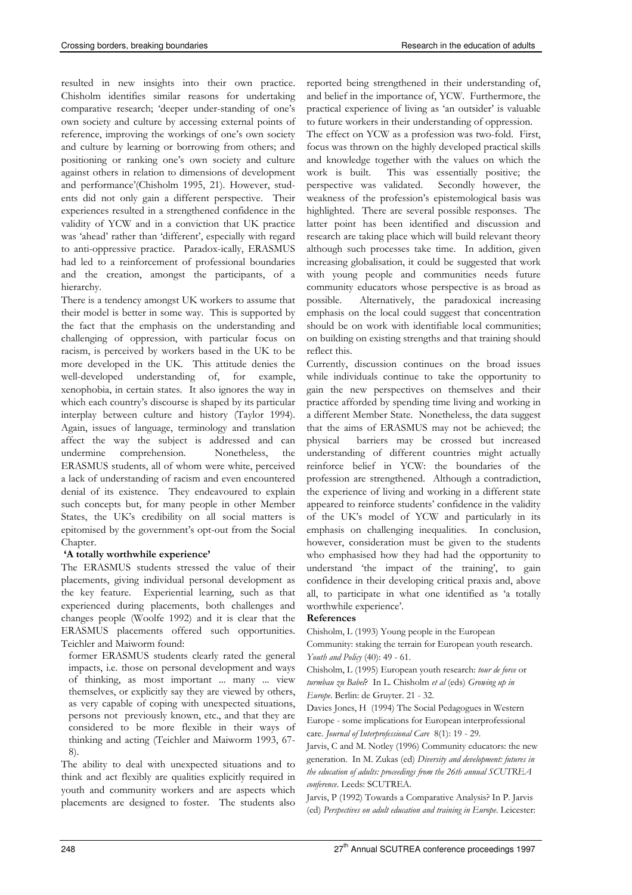resulted in new insights into their own practice. Chisholm identifies similar reasons for undertaking comparative research; 'deeper under-standing of one's own society and culture by accessing external points of reference, improving the workings of one's own society and culture by learning or borrowing from others; and positioning or ranking one's own society and culture against others in relation to dimensions of development and performance'(Chisholm 1995, 21). However, students did not only gain a different perspective. Their experiences resulted in a strengthened confidence in the validity of YCW and in a conviction that UK practice was 'ahead' rather than 'different', especially with regard to anti-oppressive practice. Paradox-ically, ERASMUS had led to a reinforcement of professional boundaries and the creation, amongst the participants, of a hierarchy.

There is a tendency amongst UK workers to assume that their model is better in some way. This is supported by the fact that the emphasis on the understanding and challenging of oppression, with particular focus on racism, is perceived by workers based in the UK to be more developed in the UK. This attitude denies the well-developed understanding of, for example, xenophobia, in certain states. It also ignores the way in which each country's discourse is shaped by its particular interplay between culture and history (Taylor 1994). Again, issues of language, terminology and translation affect the way the subject is addressed and can undermine comprehension. Nonetheless, the ERASMUS students, all of whom were white, perceived a lack of understanding of racism and even encountered denial of its existence. They endeavoured to explain such concepts but, for many people in other Member States, the UK's credibility on all social matters is epitomised by the government's opt-out from the Social Chapter.

### 'A totally worthwhile experience'

The ERASMUS students stressed the value of their placements, giving individual personal development as the key feature. Experiential learning, such as that experienced during placements, both challenges and changes people (Woolfe 1992) and it is clear that the ERASMUS placements offered such opportunities. Teichler and Maiworm found:

former ERASMUS students clearly rated the general impacts, i.e. those on personal development and ways of thinking, as most important ... many ... view themselves, or explicitly say they are viewed by others, as very capable of coping with unexpected situations, persons not previously known, etc., and that they are considered to be more flexible in their ways of thinking and acting (Teichler and Maiworm 1993, 67- 8).

The ability to deal with unexpected situations and to think and act flexibly are qualities explicitly required in youth and community workers and are aspects which placements are designed to foster. The students also reported being strengthened in their understanding of, and belief in the importance of, YCW. Furthermore, the practical experience of living as 'an outsider' is valuable to future workers in their understanding of oppression.

The effect on YCW as a profession was two-fold. First, focus was thrown on the highly developed practical skills and knowledge together with the values on which the work is built. This was essentially positive; the perspective was validated. Secondly however, the weakness of the profession's epistemological basis was highlighted. There are several possible responses. The latter point has been identified and discussion and research are taking place which will build relevant theory although such processes take time. In addition, given increasing globalisation, it could be suggested that work with young people and communities needs future community educators whose perspective is as broad as possible. Alternatively, the paradoxical increasing emphasis on the local could suggest that concentration should be on work with identifiable local communities; on building on existing strengths and that training should reflect this.

Currently, discussion continues on the broad issues while individuals continue to take the opportunity to gain the new perspectives on themselves and their practice afforded by spending time living and working in a different Member State. Nonetheless, the data suggest that the aims of ERASMUS may not be achieved; the physical barriers may be crossed but increased understanding of different countries might actually reinforce belief in YCW: the boundaries of the profession are strengthened. Although a contradiction, the experience of living and working in a different state appeared to reinforce students' confidence in the validity of the UK's model of YCW and particularly in its emphasis on challenging inequalities. In conclusion, however, consideration must be given to the students who emphasised how they had had the opportunity to understand 'the impact of the training', to gain confidence in their developing critical praxis and, above all, to participate in what one identified as 'a totally worthwhile experience'.

### References

Chisholm, L (1993) Young people in the European

Community: staking the terrain for European youth research. Youth and Policy (40): 49 - 61.

Chisholm, L (1995) European youth research: tour de force or turmbau zu Babel? In L. Chisholm et al (eds) Growing up in Europe. Berlin: de Gruyter. 21 - 32.

Davies Jones, H (1994) The Social Pedagogues in Western Europe - some implications for European interprofessional care. Journal of Interprofessional Care 8(1): 19 - 29.

Jarvis, C and M. Notley (1996) Community educators: the new generation. In M. Zukas (ed) Diversity and development: futures in the education of adults: proceedings from the 26th annual SCUTREA conference. Leeds: SCUTREA.

Jarvis, P (1992) Towards a Comparative Analysis? In P. Jarvis (ed) Perspectives on adult education and training in Europe. Leicester: